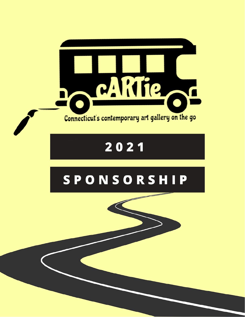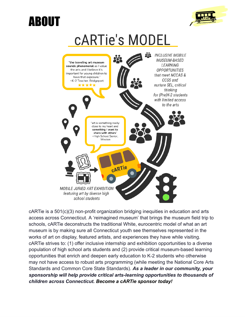## ABOUT



## **CARTIE'S MODEL**



cARTie is a 501(c)(3) non-profit organization bridging inequities in education and arts access across Connecticut. A 'reimagined museum' that brings the museum field trip to schools, cARTie deconstructs the traditional White, eurocentric model of what an art museum is by making sure all Connecticut youth see themselves represented in the works of art on display, featured artists, and experiences they have while visiting. cARTie strives to: (1) offer inclusive internship and exhibition opportunities to a diverse population of high school arts students and (2) provide critical museum-based learning opportunities that enrich and deepen early education to K-2 students who otherwise may not have access to robust arts programming (while meeting the National Core Arts Standards and Common Core State Standards). *As a leader in our community, your sponsorship will help provide critical arts-learning opportunities to thousands of children across Connecticut. Become a cARTie sponsor today!*